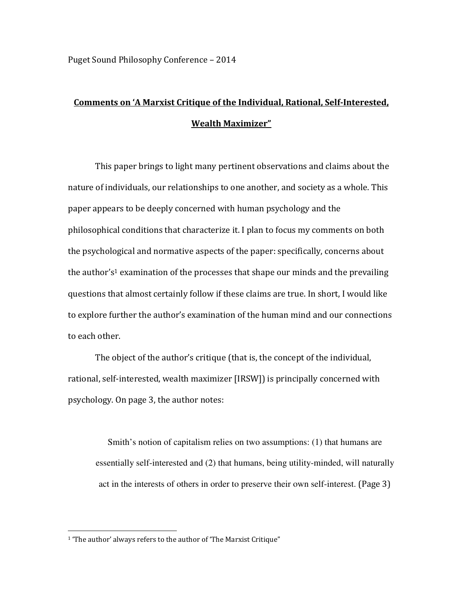## Comments on 'A Marxist Critique of the Individual, Rational, Self-Interested, Wealth Maximizer"

This paper brings to light many pertinent observations and claims about the nature of individuals, our relationships to one another, and society as a whole. This paper appears to be deeply concerned with human psychology and the philosophical conditions that characterize it. I plan to focus my comments on both the psychological and normative aspects of the paper: specifically, concerns about the author's<sup>1</sup> examination of the processes that shape our minds and the prevailing questions that almost certainly follow if these claims are true. In short, I would like to explore further the author's examination of the human mind and our connections to each other.

 The object of the author's critique (that is, the concept of the individual, rational, self-interested, wealth maximizer [IRSW]) is principally concerned with psychology. On page 3, the author notes:

Smith's notion of capitalism relies on two assumptions: (1) that humans are essentially self-interested and (2) that humans, being utility-minded, will naturally act in the interests of others in order to preserve their own self-interest. (Page 3)

 $\overline{a}$ 

<sup>&</sup>lt;sup>1</sup> 'The author' always refers to the author of 'The Marxist Critique"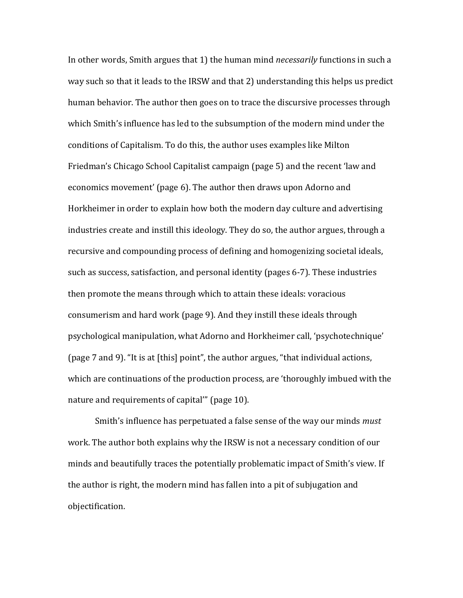In other words, Smith argues that 1) the human mind *necessarily* functions in such a way such so that it leads to the IRSW and that 2) understanding this helps us predict human behavior. The author then goes on to trace the discursive processes through which Smith's influence has led to the subsumption of the modern mind under the conditions of Capitalism. To do this, the author uses examples like Milton Friedman's Chicago School Capitalist campaign (page 5) and the recent 'law and economics movement' (page 6). The author then draws upon Adorno and Horkheimer in order to explain how both the modern day culture and advertising industries create and instill this ideology. They do so, the author argues, through a recursive and compounding process of defining and homogenizing societal ideals, such as success, satisfaction, and personal identity (pages 6-7). These industries then promote the means through which to attain these ideals: voracious consumerism and hard work (page 9). And they instill these ideals through psychological manipulation, what Adorno and Horkheimer call, 'psychotechnique' (page 7 and 9). "It is at [this] point", the author argues, "that individual actions, which are continuations of the production process, are 'thoroughly imbued with the nature and requirements of capital'" (page 10).

 Smith's influence has perpetuated a false sense of the way our minds must work. The author both explains why the IRSW is not a necessary condition of our minds and beautifully traces the potentially problematic impact of Smith's view. If the author is right, the modern mind has fallen into a pit of subjugation and objectification.